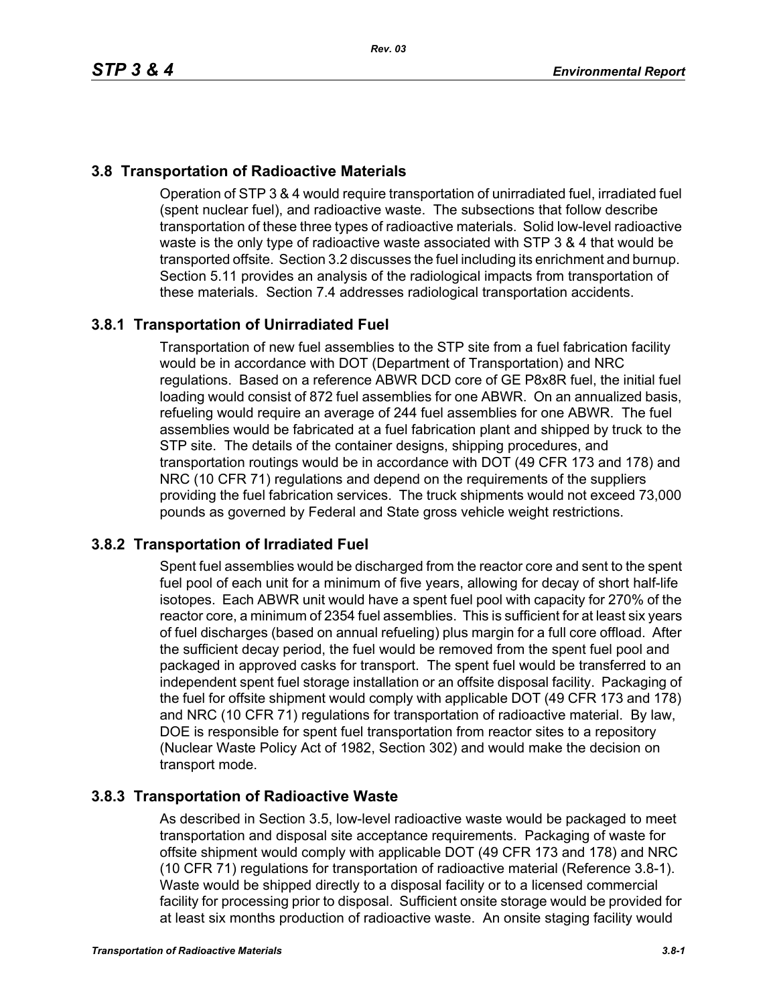# **3.8 Transportation of Radioactive Materials**

Operation of STP 3 & 4 would require transportation of unirradiated fuel, irradiated fuel (spent nuclear fuel), and radioactive waste. The subsections that follow describe transportation of these three types of radioactive materials. Solid low-level radioactive waste is the only type of radioactive waste associated with STP 3 & 4 that would be transported offsite. Section 3.2 discusses the fuel including its enrichment and burnup. Section 5.11 provides an analysis of the radiological impacts from transportation of these materials. Section 7.4 addresses radiological transportation accidents.

# **3.8.1 Transportation of Unirradiated Fuel**

Transportation of new fuel assemblies to the STP site from a fuel fabrication facility would be in accordance with DOT (Department of Transportation) and NRC regulations. Based on a reference ABWR DCD core of GE P8x8R fuel, the initial fuel loading would consist of 872 fuel assemblies for one ABWR. On an annualized basis, refueling would require an average of 244 fuel assemblies for one ABWR. The fuel assemblies would be fabricated at a fuel fabrication plant and shipped by truck to the STP site. The details of the container designs, shipping procedures, and transportation routings would be in accordance with DOT (49 CFR 173 and 178) and NRC (10 CFR 71) regulations and depend on the requirements of the suppliers providing the fuel fabrication services. The truck shipments would not exceed 73,000 pounds as governed by Federal and State gross vehicle weight restrictions.

## **3.8.2 Transportation of Irradiated Fuel**

Spent fuel assemblies would be discharged from the reactor core and sent to the spent fuel pool of each unit for a minimum of five years, allowing for decay of short half-life isotopes. Each ABWR unit would have a spent fuel pool with capacity for 270% of the reactor core, a minimum of 2354 fuel assemblies. This is sufficient for at least six years of fuel discharges (based on annual refueling) plus margin for a full core offload. After the sufficient decay period, the fuel would be removed from the spent fuel pool and packaged in approved casks for transport. The spent fuel would be transferred to an independent spent fuel storage installation or an offsite disposal facility. Packaging of the fuel for offsite shipment would comply with applicable DOT (49 CFR 173 and 178) and NRC (10 CFR 71) regulations for transportation of radioactive material. By law, DOE is responsible for spent fuel transportation from reactor sites to a repository (Nuclear Waste Policy Act of 1982, Section 302) and would make the decision on transport mode.

## **3.8.3 Transportation of Radioactive Waste**

As described in Section 3.5, low-level radioactive waste would be packaged to meet transportation and disposal site acceptance requirements. Packaging of waste for offsite shipment would comply with applicable DOT (49 CFR 173 and 178) and NRC (10 CFR 71) regulations for transportation of radioactive material (Reference 3.8-1). Waste would be shipped directly to a disposal facility or to a licensed commercial facility for processing prior to disposal. Sufficient onsite storage would be provided for at least six months production of radioactive waste. An onsite staging facility would